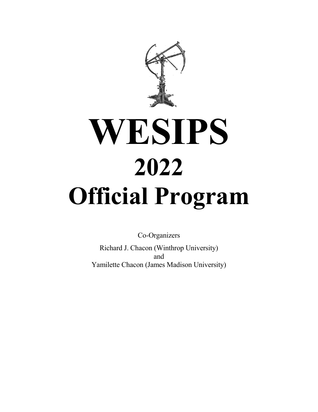

# **WESIPS 2022 Official Program**

Co-Organizers

Richard J. Chacon (Winthrop University) and Yamilette Chacon (James Madison University)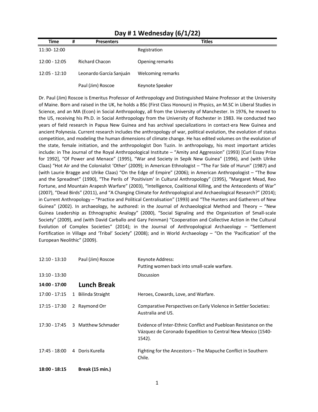| <b>Time</b>     | # | <b>Presenters</b>       | <b>Titles</b>     |
|-----------------|---|-------------------------|-------------------|
| 11:30-12:00     |   |                         | Registration      |
| $12:00 - 12:05$ |   | <b>Richard Chacon</b>   | Opening remarks   |
| $12:05 - 12:10$ |   | Leonardo García Sanjuán | Welcoming remarks |
|                 |   | Paul (Jim) Roscoe       | Keynote Speaker   |

#### **Day # 1 Wednesday (6/1/22)**

Dr. Paul (Jim) Roscoe is Emeritus Professor of Anthropology and Distinguished Maine Professor at the University of Maine. Born and raised in the UK, he holds a BSc (First Class Honours) in Physics, an M.SC in Liberal Studies in Science, and an MA (Econ) in Social Anthropology, all from the University of Manchester. In 1976, he moved to the US, receiving his Ph.D. in Social Anthropology from the University of Rochester in 1983. He conducted two years of field research in Papua New Guinea and has archival specializations in contact-era New Guinea and ancient Polynesia. Current research includes the anthropology of war, political evolution, the evolution of status competition, and modeling the human dimensions of climate change. He has edited volumes on the evolution of the state, female initiation, and the anthropologist Don Tuzin. In anthropology, his most important articles include: in The Journal of the Royal Anthropological Institute – "Amity and Aggression" (1993) [Curl Essay Prize for 1992], "Of Power and Menace" (1995), "War and Society in Sepik New Guinea" (1996), and (with Ulrike Claas) "Hot Air and the Colonialist 'Other' (2009); in American Ethnologist – "The Far Side of Hurun" (1987) and (with Laurie Bragge and Ulrike Claas) "On the Edge of Empire" (2006); in American Anthropologist – "The Bow and the Spreadnet" (1990), "The Perils of `Positivism' in Cultural Anthropology" (1995), "Margaret Mead, Reo Fortune, and Mountain Arapesh Warfare" (2003), "Intelligence, Coalitional Killing, and the Antecedents of War" (2007), "Dead Birds" (2011), and "A Changing Climate for Anthropological and Archaeological Research?" (2014); in Current Anthropology – "Practice and Political Centralisation" (1993) and "The Hunters and Gatherers of New Guinea" (2002). In archaeology, he authored: in the Journal of Archaeological Method and Theory – "New Guinea Leadership as Ethnographic Analogy" (2000), "Social Signaling and the Organization of Small-scale Society" (2009), and (with David Carballo and Gary Feinman) "Cooperation and Collective Action in the Cultural Evolution of Complex Societies" (2014); in the Journal of Anthropological Archaeology – "Settlement Fortification in Village and 'Tribal' Society" (2008); and in World Archaeology – "On the 'Pacification' of the European Neolithic" (2009).

| $12:10 - 13:10$ | Paul (Jim) Roscoe                       | Keynote Address:                                                                                                                          |
|-----------------|-----------------------------------------|-------------------------------------------------------------------------------------------------------------------------------------------|
|                 |                                         | Putting women back into small-scale warfare.                                                                                              |
| $13:10 - 13:30$ |                                         | <b>Discussion</b>                                                                                                                         |
| 14:00 - 17:00   | <b>Lunch Break</b>                      |                                                                                                                                           |
| 17:00 - 17:15   | <b>Bilinda Straight</b><br>$\mathbf{1}$ | Heroes, Cowards, Love, and Warfare.                                                                                                       |
| $17:15 - 17:30$ | 2 Raymond Orr                           | Comparative Perspectives on Early Violence in Settler Societies:<br>Australia and US.                                                     |
| 17:30 - 17:45   | 3 Matthew Schmader                      | Evidence of Inter-Ethnic Conflict and Puebloan Resistance on the<br>Vázquez de Coronado Expedition to Central New Mexico (1540-<br>1542). |
| 17:45 - 18:00   | 4 Doris Kurella                         | Fighting for the Ancestors – The Mapuche Conflict in Southern<br>Chile.                                                                   |
| 18:00 - 18:15   | Break (15 min.)                         |                                                                                                                                           |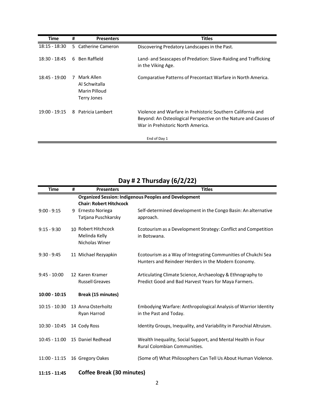| Time            | #  | <b>Presenters</b>                                           | <b>Titles</b>                                                                                                                                                       |
|-----------------|----|-------------------------------------------------------------|---------------------------------------------------------------------------------------------------------------------------------------------------------------------|
| $18:15 - 18:30$ |    | 5 Catherine Cameron                                         | Discovering Predatory Landscapes in the Past.                                                                                                                       |
| 18:30 - 18:45   | 6. | Ben Raffield                                                | Land- and Seascapes of Predation: Slave-Raiding and Trafficking<br>in the Viking Age.                                                                               |
| 18:45 - 19:00   | 7  | Mark Allen<br>Al Schwitalla<br>Marin Pilloud<br>Terry Jones | Comparative Patterns of Precontact Warfare in North America.                                                                                                        |
| 19:00 - 19:15   |    | 8 Patricia Lambert                                          | Violence and Warfare in Prehistoric Southern California and<br>Beyond: An Osteological Perspective on the Nature and Causes of<br>War in Prehistoric North America. |
|                 |    |                                                             | End of Day 1                                                                                                                                                        |

| Time            | # | <b>Presenters</b>              | <b>Titles</b>                                                       |
|-----------------|---|--------------------------------|---------------------------------------------------------------------|
|                 |   |                                | <b>Organized Session: Indigenous Peoples and Development</b>        |
|                 |   | <b>Chair: Robert Hitchcock</b> |                                                                     |
| $9:00 - 9:15$   |   | 9 Ernesto Noriega              | Self-determined development in the Congo Basin: An alternative      |
|                 |   | Tatjana Puschkarsky            | approach.                                                           |
|                 |   |                                |                                                                     |
| $9:15 - 9:30$   |   | 10 Robert Hitchcock            | Ecotourism as a Development Strategy: Conflict and Competition      |
|                 |   | Melinda Kelly                  | in Botswana.                                                        |
|                 |   | Nicholas Winer                 |                                                                     |
|                 |   |                                |                                                                     |
| $9:30 - 9:45$   |   | 11 Michael Rezyapkin           | Ecotourism as a Way of Integrating Communities of Chukchi Sea       |
|                 |   |                                | Hunters and Reindeer Herders in the Modern Economy.                 |
| $9:45 - 10:00$  |   | 12 Karen Kramer                |                                                                     |
|                 |   |                                | Articulating Climate Science, Archaeology & Ethnography to          |
|                 |   | <b>Russell Greaves</b>         | Predict Good and Bad Harvest Years for Maya Farmers.                |
| $10:00 - 10:15$ |   | <b>Break (15 minutes)</b>      |                                                                     |
|                 |   |                                |                                                                     |
| $10:15 - 10:30$ |   | 13 Anna Osterholtz             | Embodying Warfare: Anthropological Analysis of Warrior Identity     |
|                 |   | Ryan Harrod                    | in the Past and Today.                                              |
|                 |   |                                |                                                                     |
| $10:30 - 10:45$ |   | 14 Cody Ross                   | Identity Groups, Inequality, and Variability in Parochial Altruism. |
|                 |   |                                |                                                                     |
| $10:45 - 11:00$ |   | 15 Daniel Redhead              | Wealth Inequality, Social Support, and Mental Health in Four        |
|                 |   |                                | Rural Colombian Communities.                                        |
|                 |   |                                |                                                                     |
| $11:00 - 11:15$ |   | 16 Gregory Oakes               | (Some of) What Philosophers Can Tell Us About Human Violence.       |

## **Day # 2 Thursday (6/2/22)**

### **11:15 - 11:45 Coffee Break (30 minutes)**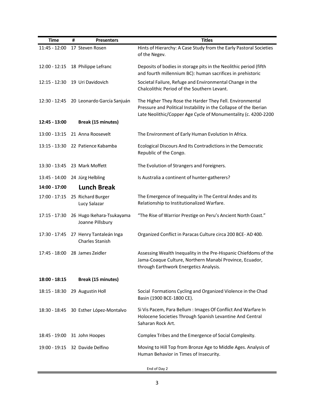| <b>Time</b>                  | # | <b>Presenters</b>                          | <b>Titles</b>                                                                                                                 |
|------------------------------|---|--------------------------------------------|-------------------------------------------------------------------------------------------------------------------------------|
| 11:45 - 12:00                |   | 17 Steven Rosen                            | Hints of Hierarchy: A Case Study from the Early Pastoral Societies                                                            |
|                              |   |                                            | of the Negev.                                                                                                                 |
| $12:00 - 12:15$              |   | 18 Philippe Lefranc                        | Deposits of bodies in storage pits in the Neolithic period (fifth                                                             |
|                              |   |                                            | and fourth millennium BC): human sacrifices in prehistoric                                                                    |
| $12:15 - 12:30$              |   | 19 Uri Davidovich                          | Societal Failure, Refuge and Environmental Change in the                                                                      |
|                              |   |                                            | Chalcolithic Period of the Southern Levant.                                                                                   |
|                              |   |                                            |                                                                                                                               |
|                              |   | 12:30 - 12:45 20 Leonardo García Sanjuán   | The Higher They Rose the Harder They Fell. Environmental<br>Pressure and Political Instability in the Collapse of the Iberian |
|                              |   |                                            | Late Neolithic/Copper Age Cycle of Monumentality (c. 4200-2200                                                                |
| 12:45 - 13:00                |   | <b>Break (15 minutes)</b>                  |                                                                                                                               |
|                              |   |                                            |                                                                                                                               |
| 13:00 - 13:15                |   | 21 Anna Roosevelt                          | The Environment of Early Human Evolution in Africa.                                                                           |
| 13:15 - 13:30                |   | 22 Patience Kabamba                        | Ecological Discours and its Contradictions in the Democratic                                                                  |
|                              |   |                                            | Republic of the Congo.                                                                                                        |
| 13:30 - 13:45                |   | 23 Mark Moffett                            | The Evolution of Strangers and Foreigners.                                                                                    |
|                              |   |                                            |                                                                                                                               |
| 13:45 - 14:00                |   | 24 Jürg Helbling                           | Is Australia a Continent of Hunter-gatherers?                                                                                 |
| 14:00 - 17:00                |   | <b>Lunch Break</b>                         |                                                                                                                               |
| 17:00 - 17:15                |   | 25 Richard Burger                          | The Emergence of Inequality in The Central Andes and its                                                                      |
|                              |   | Lucy Salazar                               | Relationship to Institutionalized Warfare.                                                                                    |
| 17:15 - 17:30                |   | 26 Hugo Ikehara-Tsukayama                  | "The Rise of Warrior Prestige on Peru's Ancient North Coast."                                                                 |
|                              |   | Joanne Pillsbury                           |                                                                                                                               |
|                              |   |                                            |                                                                                                                               |
| 17:30 - 17:45                |   | 27 Henry Tantaleán Inga<br>Charles Stanish | Organized Conflict in Paracas Culture circa 200 BCE-AD 400.                                                                   |
|                              |   |                                            |                                                                                                                               |
| 17:45 - 18:00                |   | 28 James Zeidler                           | Assessing Wealth Inequality in the Pre-Hispanic Chiefdoms of the                                                              |
|                              |   |                                            | Jama-Coaque Culture, Northern Manabí Province, Ecuador,<br>through Earthwork Energetics Analysis.                             |
|                              |   |                                            |                                                                                                                               |
| 18:00 - 18:15                |   | <b>Break (15 minutes)</b>                  |                                                                                                                               |
| $18:15 - 18:30$              |   | 29 Augustin Holl                           | Social Formations Cycling and Organized Violence in the Chad                                                                  |
|                              |   |                                            | Basin (1900 BCE-1800 CE).                                                                                                     |
|                              |   | 18:30 - 18:45 30 Esther López-Montalvo     | Si Vis Pacem, Para Bellum: Images Of Conflict And Warfare In                                                                  |
|                              |   |                                            | Holocene Societies Through Spanish Levantine And Central                                                                      |
|                              |   |                                            | Saharan Rock Art.                                                                                                             |
| 18:45 - 19:00 31 John Hoopes |   |                                            | Complex Tribes and the Emergence of Social Complexity.                                                                        |
|                              |   |                                            |                                                                                                                               |
|                              |   | 19:00 - 19:15 32 Davide Delfino            | Moving to Hill Top from Bronze Age to Middle Ages. Analysis of                                                                |
|                              |   |                                            | Human Behavior in Times of Insecurity.                                                                                        |
|                              |   |                                            | End of Day 2                                                                                                                  |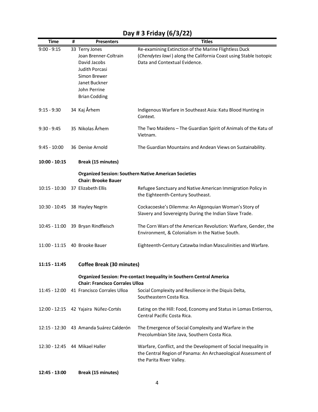| Time            | # | <b>Presenters</b>                                                                                                                                  | <b>Titles</b>                                                                                                                                               |
|-----------------|---|----------------------------------------------------------------------------------------------------------------------------------------------------|-------------------------------------------------------------------------------------------------------------------------------------------------------------|
| $9:00 - 9:15$   |   | 33 Terry Jones<br>Joan Brenner-Coltrain<br>David Jacobs<br>Judith Porcasi<br>Simon Brewer<br>Janet Buckner<br>John Perrine<br><b>Brian Codding</b> | Re-examining Extinction of the Marine Flightless Duck<br>(Chendytes lawi) along the California Coast using Stable Isotopic<br>Data and Contextual Evidence. |
| $9:15 - 9:30$   |   | 34 Kaj Århem                                                                                                                                       | Indigenous Warfare in Southeast Asia: Katu Blood Hunting in<br>Context.                                                                                     |
| $9:30 - 9:45$   |   | 35 Nikolas Århem                                                                                                                                   | The Two Maidens - The Guardian Spirit of Animals of the Katu of<br>Vietnam.                                                                                 |
| $9:45 - 10:00$  |   | 36 Denise Arnold                                                                                                                                   | The Guardian Mountains and Andean Views on Sustainability.                                                                                                  |
| $10:00 - 10:15$ |   | <b>Break (15 minutes)</b>                                                                                                                          |                                                                                                                                                             |
|                 |   | <b>Chair: Brooke Bauer</b>                                                                                                                         | <b>Organized Session: Southern Native American Societies</b>                                                                                                |
| $10:15 - 10:30$ |   | 37 Elizabeth Ellis                                                                                                                                 | Refugee Sanctuary and Native American Immigration Policy in<br>the Eighteenth-Century Southeast.                                                            |
| 10:30 - 10:45   |   | 38 Hayley Negrin                                                                                                                                   | Cockacoeske's Dilemma: An Algonquian Woman's Story of<br>Slavery and Sovereignty During the Indian Slave Trade.                                             |
| 10:45 - 11:00   |   | 39 Bryan Rindfleisch                                                                                                                               | The Corn Wars of the American Revolution: Warfare, Gender, the<br>Environment, & Colonialism in the Native South.                                           |
|                 |   | 11:00 - 11:15 40 Brooke Bauer                                                                                                                      | Eighteenth-Century Catawba Indian Masculinities and Warfare.                                                                                                |
| $11:15 - 11:45$ |   | <b>Coffee Break (30 minutes)</b>                                                                                                                   |                                                                                                                                                             |
|                 |   | <b>Chair: Francisco Corrales Ulloa</b>                                                                                                             | <b>Organized Session: Pre-contact Inequality in Southern Central America</b>                                                                                |
| 11:45 - 12:00   |   | 41 Francisco Corrales Ulloa                                                                                                                        | Social Complexity and Resilience in the Diquis Delta,<br>Southeastern Costa Rica.                                                                           |
|                 |   | 12:00 - 12:15 42 Yajaira Núñez-Cortés                                                                                                              | Eating on the Hill: Food, Economy and Status in Lomas Entierros,<br>Central Pacific Costa Rica.                                                             |
|                 |   | 12:15 - 12:30 43 Amanda Suárez Calderón                                                                                                            | The Emergence of Social Complexity and Warfare in the<br>Precolumbian Site Java, Southern Costa Rica.                                                       |
|                 |   | 12:30 - 12:45 44 Mikael Haller                                                                                                                     | Warfare, Conflict, and the Development of Social Inequality in<br>the Central Region of Panama: An Archaeological Assessment of<br>the Parita River Valley. |
| 12:45 - 13:00   |   | <b>Break (15 minutes)</b>                                                                                                                          |                                                                                                                                                             |

## **Day # 3 Friday (6/3/22)**